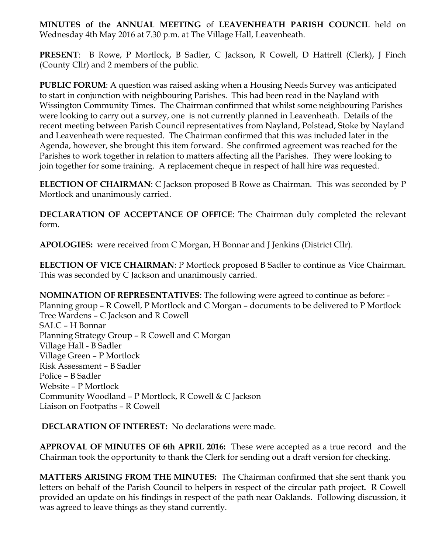**MINUTES of the ANNUAL MEETING** of **LEAVENHEATH PARISH COUNCIL** held on Wednesday 4th May 2016 at 7.30 p.m. at The Village Hall, Leavenheath.

**PRESENT**: B Rowe, P Mortlock, B Sadler, C Jackson, R Cowell, D Hattrell (Clerk), J Finch (County Cllr) and 2 members of the public.

**PUBLIC FORUM**: A question was raised asking when a Housing Needs Survey was anticipated to start in conjunction with neighbouring Parishes. This had been read in the Nayland with Wissington Community Times. The Chairman confirmed that whilst some neighbouring Parishes were looking to carry out a survey, one is not currently planned in Leavenheath. Details of the recent meeting between Parish Council representatives from Nayland, Polstead, Stoke by Nayland and Leavenheath were requested. The Chairman confirmed that this was included later in the Agenda, however, she brought this item forward. She confirmed agreement was reached for the Parishes to work together in relation to matters affecting all the Parishes. They were looking to join together for some training. A replacement cheque in respect of hall hire was requested.

**ELECTION OF CHAIRMAN**: C Jackson proposed B Rowe as Chairman. This was seconded by P Mortlock and unanimously carried.

**DECLARATION OF ACCEPTANCE OF OFFICE**: The Chairman duly completed the relevant form.

**APOLOGIES:** were received from C Morgan, H Bonnar and J Jenkins (District Cllr).

**ELECTION OF VICE CHAIRMAN**: P Mortlock proposed B Sadler to continue as Vice Chairman. This was seconded by C Jackson and unanimously carried.

**NOMINATION OF REPRESENTATIVES**: The following were agreed to continue as before: - Planning group – R Cowell, P Mortlock and C Morgan – documents to be delivered to P Mortlock Tree Wardens – C Jackson and R Cowell SALC – H Bonnar Planning Strategy Group – R Cowell and C Morgan Village Hall - B Sadler Village Green – P Mortlock Risk Assessment – B Sadler Police – B Sadler Website – P Mortlock Community Woodland – P Mortlock, R Cowell & C Jackson Liaison on Footpaths – R Cowell

**DECLARATION OF INTEREST:** No declarations were made.

**APPROVAL OF MINUTES OF 6th APRIL 2016:** These were accepted as a true record and the Chairman took the opportunity to thank the Clerk for sending out a draft version for checking.

**MATTERS ARISING FROM THE MINUTES:** The Chairman confirmed that she sent thank you letters on behalf of the Parish Council to helpers in respect of the circular path project**.** R Cowell provided an update on his findings in respect of the path near Oaklands. Following discussion, it was agreed to leave things as they stand currently.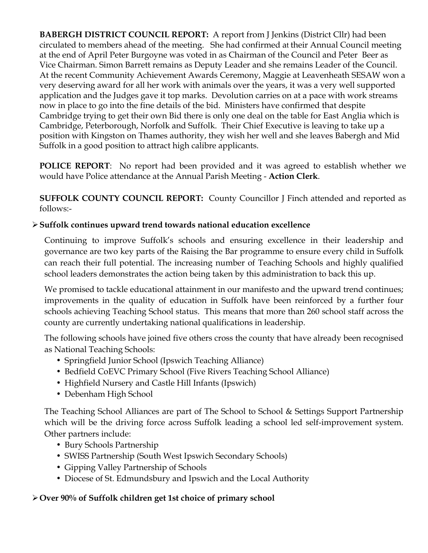**BABERGH DISTRICT COUNCIL REPORT:** A report from J Jenkins (District Cllr) had been circulated to members ahead of the meeting. She had confirmed at their Annual Council meeting at the end of April Peter Burgoyne was voted in as Chairman of the Council and Peter Beer as Vice Chairman. Simon Barrett remains as Deputy Leader and she remains Leader of the Council. At the recent Community Achievement Awards Ceremony, Maggie at Leavenheath SESAW won a very deserving award for all her work with animals over the years, it was a very well supported application and the Judges gave it top marks. Devolution carries on at a pace with work streams now in place to go into the fine details of the bid. Ministers have confirmed that despite Cambridge trying to get their own Bid there is only one deal on the table for East Anglia which is Cambridge, Peterborough, Norfolk and Suffolk. Their Chief Executive is leaving to take up a position with Kingston on Thames authority, they wish her well and she leaves Babergh and Mid Suffolk in a good position to attract high calibre applicants.

**POLICE REPORT**: No report had been provided and it was agreed to establish whether we would have Police attendance at the Annual Parish Meeting - **Action Clerk**.

**SUFFOLK COUNTY COUNCIL REPORT:** County Councillor J Finch attended and reported as follows:-

# Ø**Suffolk continues upward trend towards national education excellence**

Continuing to improve Suffolk's schools and ensuring excellence in their leadership and governance are two key parts of the Raising the Bar programme to ensure every child in Suffolk can reach their full potential. The increasing number of Teaching Schools and highly qualified school leaders demonstrates the action being taken by this administration to back this up.

We promised to tackle educational attainment in our manifesto and the upward trend continues; improvements in the quality of education in Suffolk have been reinforced by a further four schools achieving Teaching School status. This means that more than 260 school staff across the county are currently undertaking national qualifications in leadership.

The following schools have joined five others cross the county that have already been recognised as National Teaching Schools:

- Springfield Junior School (Ipswich Teaching Alliance)
- Bedfield CoEVC Primary School (Five Rivers Teaching School Alliance)
- Highfield Nursery and Castle Hill Infants (Ipswich)
- Debenham High School

The Teaching School Alliances are part of The School to School & Settings Support Partnership which will be the driving force across Suffolk leading a school led self-improvement system. Other partners include:

- Bury Schools Partnership
- SWISS Partnership (South West Ipswich Secondary Schools)
- Gipping Valley Partnership of Schools
- Diocese of St. Edmundsbury and Ipswich and the Local Authority

### Ø**Over 90% of Suffolk children get 1st choice of primary school**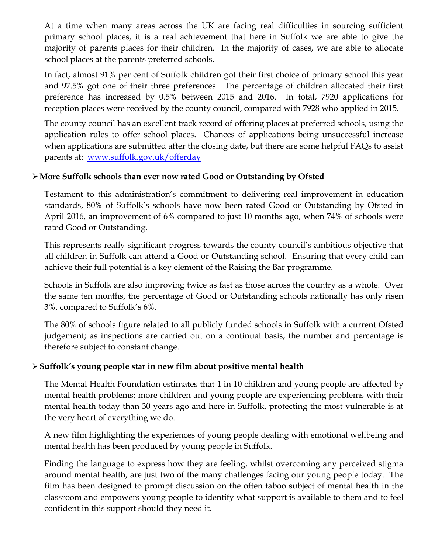At a time when many areas across the UK are facing real difficulties in sourcing sufficient primary school places, it is a real achievement that here in Suffolk we are able to give the majority of parents places for their children. In the majority of cases, we are able to allocate school places at the parents preferred schools.

In fact, almost 91% per cent of Suffolk children got their first choice of primary school this year and 97.5% got one of their three preferences. The percentage of children allocated their first preference has increased by 0.5% between 2015 and 2016. In total, 7920 applications for reception places were received by the county council, compared with 7928 who applied in 2015.

The county council has an excellent track record of offering places at preferred schools, using the application rules to offer school places. Chances of applications being unsuccessful increase when applications are submitted after the closing date, but there are some helpful FAQs to assist parents at: www.suffolk.gov.uk/offerday

# Ø**More Suffolk schools than ever now rated Good or Outstanding by Ofsted**

Testament to this administration's commitment to delivering real improvement in education standards, 80% of Suffolk's schools have now been rated Good or Outstanding by Ofsted in April 2016, an improvement of 6% compared to just 10 months ago, when 74% of schools were rated Good or Outstanding.

This represents really significant progress towards the county council's ambitious objective that all children in Suffolk can attend a Good or Outstanding school. Ensuring that every child can achieve their full potential is a key element of the Raising the Bar programme.

Schools in Suffolk are also improving twice as fast as those across the country as a whole. Over the same ten months, the percentage of Good or Outstanding schools nationally has only risen 3%, compared to Suffolk's 6%.

The 80% of schools figure related to all publicly funded schools in Suffolk with a current Ofsted judgement; as inspections are carried out on a continual basis, the number and percentage is therefore subject to constant change.

# Ø**Suffolk's young people star in new film about positive mental health**

The Mental Health Foundation estimates that 1 in 10 children and young people are affected by mental health problems; more children and young people are experiencing problems with their mental health today than 30 years ago and here in Suffolk, protecting the most vulnerable is at the very heart of everything we do.

A new film highlighting the experiences of young people dealing with emotional wellbeing and mental health has been produced by young people in Suffolk.

Finding the language to express how they are feeling, whilst overcoming any perceived stigma around mental health, are just two of the many challenges facing our young people today. The film has been designed to prompt discussion on the often taboo subject of mental health in the classroom and empowers young people to identify what support is available to them and to feel confident in this support should they need it.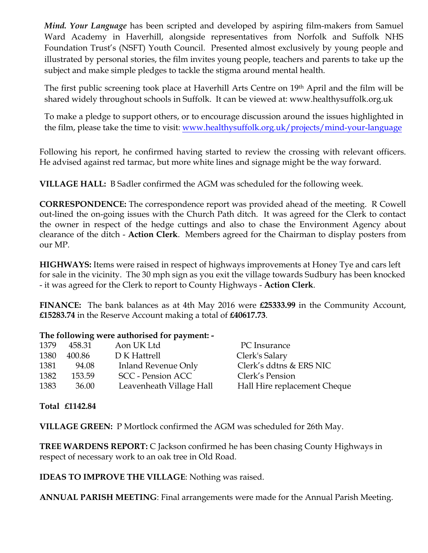*Mind. Your Language* has been scripted and developed by aspiring film-makers from Samuel Ward Academy in Haverhill, alongside representatives from Norfolk and Suffolk NHS Foundation Trust's (NSFT) Youth Council. Presented almost exclusively by young people and illustrated by personal stories, the film invites young people, teachers and parents to take up the subject and make simple pledges to tackle the stigma around mental health.

The first public screening took place at Haverhill Arts Centre on 19<sup>th</sup> April and the film will be shared widely throughout schools in Suffolk. It can be viewed at: www.healthysuffolk.org.uk

To make a pledge to support others, or to encourage discussion around the issues highlighted in the film, please take the time to visit: www.healthysuffolk.org.uk/projects/mind-your-language

Following his report, he confirmed having started to review the crossing with relevant officers. He advised against red tarmac, but more white lines and signage might be the way forward.

**VILLAGE HALL:** B Sadler confirmed the AGM was scheduled for the following week.

**CORRESPONDENCE:** The correspondence report was provided ahead of the meeting. R Cowell out-lined the on-going issues with the Church Path ditch. It was agreed for the Clerk to contact the owner in respect of the hedge cuttings and also to chase the Environment Agency about clearance of the ditch - **Action Clerk**. Members agreed for the Chairman to display posters from our MP.

**HIGHWAYS:** Items were raised in respect of highways improvements at Honey Tye and cars left for sale in the vicinity. The 30 mph sign as you exit the village towards Sudbury has been knocked - it was agreed for the Clerk to report to County Highways - **Action Clerk**.

**FINANCE:** The bank balances as at 4th May 2016 were **£25333.99** in the Community Account, **£15283.74** in the Reserve Account making a total of **£40617.73**.

#### **The following were authorised for payment: -**

| 1379 | 458.31 | Aon UK Ltd                 | PC Insurance                 |
|------|--------|----------------------------|------------------------------|
| 1380 | 400.86 | D K Hattrell               | Clerk's Salary               |
| 1381 | 94.08  | <b>Inland Revenue Only</b> | Clerk's ddtns & ERS NIC      |
| 1382 | 153.59 | <b>SCC</b> - Pension ACC   | Clerk's Pension              |
| 1383 | 36.00  | Leavenheath Village Hall   | Hall Hire replacement Cheque |
|      |        |                            |                              |

**Total £1142.84**

**VILLAGE GREEN:** P Mortlock confirmed the AGM was scheduled for 26th May.

**TREE WARDENS REPORT:** C Jackson confirmed he has been chasing County Highways in respect of necessary work to an oak tree in Old Road.

**IDEAS TO IMPROVE THE VILLAGE**: Nothing was raised.

**ANNUAL PARISH MEETING**: Final arrangements were made for the Annual Parish Meeting.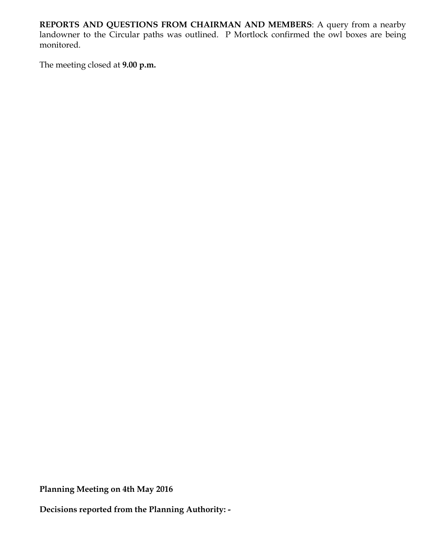**REPORTS AND QUESTIONS FROM CHAIRMAN AND MEMBERS**: A query from a nearby landowner to the Circular paths was outlined. P Mortlock confirmed the owl boxes are being monitored.

The meeting closed at **9.00 p.m.**

**Planning Meeting on 4th May 2016**

**Decisions reported from the Planning Authority: -**